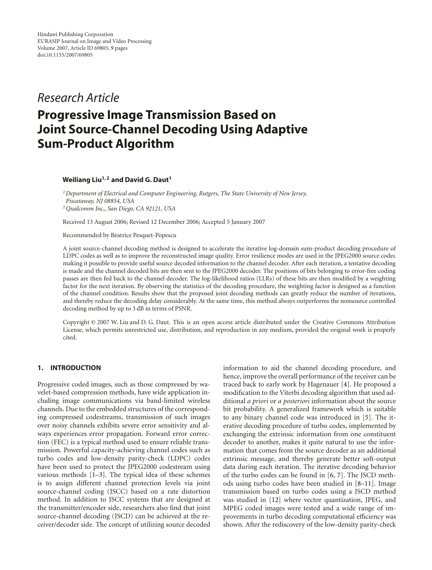*Research Article*

# **Progressive Image Transmission Based on Joint Source-Channel Decoding Using Adaptive Sum-Product Algorithm**

## **Weiliang Liu1, 2 and David G. Daut1**

*1Department of Electrical and Computer Engineering, Rutgers, The State University of New Jersey, Piscataway, NJ 08854, USA 2Qualcomm Inc., San Diego, CA 92121, USA*

Received 13 August 2006; Revised 12 December 2006; Accepted 5 January 2007

Recommended by Beatrice Pesquet-Popescu ´

A joint source-channel decoding method is designed to accelerate the iterative log-domain sum-product decoding procedure of LDPC codes as well as to improve the reconstructed image quality. Error resilience modes are used in the JPEG2000 source codec making it possible to provide useful source decoded information to the channel decoder. After each iteration, a tentative decoding is made and the channel decoded bits are then sent to the JPEG2000 decoder. The positions of bits belonging to error-free coding passes are then fed back to the channel decoder. The log-likelihood ratios (LLRs) of these bits are then modified by a weighting factor for the next iteration. By observing the statistics of the decoding procedure, the weighting factor is designed as a function of the channel condition. Results show that the proposed joint decoding methods can greatly reduce the number of iterations, and thereby reduce the decoding delay considerably. At the same time, this method always outperforms the nonsource controlled decoding method by up to 3 dB in terms of PSNR.

Copyright © 2007 W. Liu and D. G. Daut. This is an open access article distributed under the Creative Commons Attribution License, which permits unrestricted use, distribution, and reproduction in any medium, provided the original work is properly cited.

## **1. INTRODUCTION**

Progressive coded images, such as those compressed by wavelet-based compression methods, have wide application including image communications via band-limited wireless channels. Due to the embedded structures of the corresponding compressed codestreams, transmission of such images over noisy channels exhibits severe error sensitivity and always experiences error propagation. Forward error correction (FEC) is a typical method used to ensure reliable transmission. Powerful capacity-achieving channel codes such as turbo codes and low-density parity-check (LDPC) codes have been used to protect the JPEG2000 codestream using various methods [\[1](#page-7-1)[–3](#page-7-2)]. The typical idea of these schemes is to assign different channel protection levels via joint source-channel coding (JSCC) based on a rate distortion method. In addition to JSCC systems that are designed at the transmitter/encoder side, researchers also find that joint source-channel decoding (JSCD) can be achieved at the receiver/decoder side. The concept of utilizing source decoded information to aid the channel decoding procedure, and hence, improve the overall performance of the receiver can be traced back to early work by Hagenauer [\[4](#page-7-3)]. He proposed a modification to the Viterbi decoding algorithm that used additional *a priori* or *a posteriori* information about the source bit probability. A generalized framework which is suitable to any binary channel code was introduced in [\[5](#page-7-4)]. The iterative decoding procedure of turbo codes, implemented by exchanging the extrinsic information from one constituent decoder to another, makes it quite natural to use the information that comes from the source decoder as an additional extrinsic message, and thereby generate better soft-output data during each iteration. The iterative decoding behavior of the turbo codes can be found in [\[6](#page-7-5), [7](#page-7-6)]. The JSCD methods using turbo codes have been studied in [\[8](#page-8-0)[–11](#page-8-1)]. Image transmission based on turbo codes using a JSCD method was studied in [\[12\]](#page-8-2) where vector quantization, JPEG, and MPEG coded images were tested and a wide range of improvements in turbo decoding computational efficiency was shown. After the rediscovery of the low-density parity-check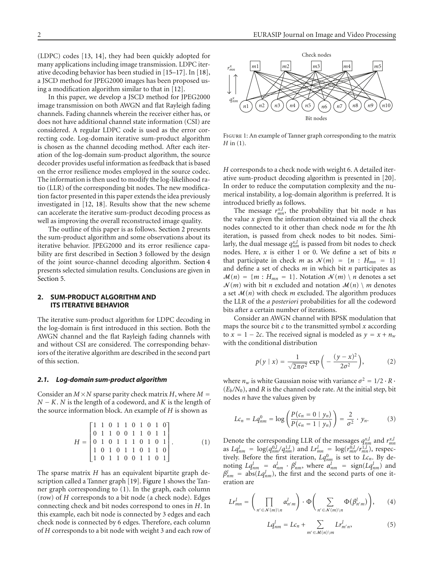(LDPC) codes [\[13](#page-8-3), [14\]](#page-8-4), they had been quickly adopted for many applications including image transmission. LDPC iterative decoding behavior has been studied in [\[15](#page-8-5)[–17\]](#page-8-6). In [\[18](#page-8-7)], a JSCD method for JPEG2000 images has been proposed using a modification algorithm similar to that in [\[12](#page-8-2)].

In this paper, we develop a JSCD method for JPEG2000 image transmission on both AWGN and flat Rayleigh fading channels. Fading channels wherein the receiver either has, or does not have additional channel state information (CSI) are considered. A regular LDPC code is used as the error correcting code. Log-domain iterative sum-product algorithm is chosen as the channel decoding method. After each iteration of the log-domain sum-product algorithm, the source decoder provides useful information as feedback that is based on the error resilience modes employed in the source codec. The information is then used to modify the log-likelihood ratio (LLR) of the corresponding bit nodes. The new modification factor presented in this paper extends the idea previously investigated in [\[12](#page-8-2), [18\]](#page-8-7). Results show that the new scheme can accelerate the iterative sum-product decoding process as well as improving the overall reconstructed image quality.

The outline of this paper is as follows. [Section 2](#page-1-0) presents the sum-product algorithm and some observations about its iterative behavior. JPEG2000 and its error resilience capability are first described in [Section 3](#page-3-0) followed by the design of the joint source-channel decoding algorithm. [Section 4](#page-5-0) presents selected simulation results. Conclusions are given in [Section 5.](#page-5-1)

## <span id="page-1-0"></span>**2. SUM-PRODUCT ALGORITHM AND ITS ITERATIVE BEHAVIOR**

The iterative sum-product algorithm for LDPC decoding in the log-domain is first introduced in this section. Both the AWGN channel and the flat Rayleigh fading channels with and without CSI are considered. The corresponding behaviors of the iterative algorithm are described in the second part of this section.

### *2.1. Log-domain sum-product algorithm*

Consider an  $M \times N$  sparse parity check matrix *H*, where  $M =$ *<sup>N</sup>* <sup>−</sup> *<sup>K</sup>*. *<sup>N</sup>* is the length of a codeword, and *<sup>K</sup>* is the length of the source information block. An example of *H* is shown as

$$
H = \begin{bmatrix} 1 & 1 & 0 & 1 & 1 & 0 & 1 & 0 & 1 & 0 \\ 0 & 1 & 1 & 0 & 0 & 1 & 1 & 0 & 1 & 1 \\ 0 & 1 & 0 & 1 & 1 & 1 & 0 & 1 & 0 & 1 \\ 1 & 0 & 1 & 0 & 1 & 1 & 0 & 1 & 1 & 0 \\ 1 & 0 & 1 & 1 & 0 & 0 & 1 & 1 & 0 & 1 \end{bmatrix} . \tag{1}
$$

The sparse matrix *H* has an equivalent bipartite graph description called a Tanner graph [\[19](#page-8-8)]. [Figure 1](#page-1-1) shows the Tanner graph corresponding to [\(1\)](#page-1-2). In the graph, each column (row) of *H* corresponds to a bit node (a check node). Edges connecting check and bit nodes correspond to ones in *H*. In this example, each bit node is connected by 3 edges and each check node is connected by 6 edges. Therefore, each column of *H* corresponds to a bit node with weight 3 and each row of



<span id="page-1-1"></span>FIGURE 1: An example of Tanner graph corresponding to the matrix *H* in [\(1\)](#page-1-2).

*H* corresponds to a check node with weight 6. A detailed iterative sum-product decoding algorithm is presented in [\[20](#page-8-9)]. In order to reduce the computation complexity and the numerical instability, a log-domain algorithm is preferred. It is introduced briefly as follows.

The message  $r_{mn}^{x,l}$ , the probability that bit node *n* has the value *x* given the information obtained via all the check nodes connected to it other than check node *m* for the *l*th iteration, is passed from check nodes to bit nodes. Similarly, the dual message  $q_{nm}^{x,l}$  is passed from bit nodes to check nodes. Here, *x* is either 1 or 0. We define a set of bits *n* that participate in check *m* as  $\mathcal{N}(m) = \{n : H_{mn} = 1\}$ and define a set of checks *m* in which bit *n* participates as  $M(n) = \{m : H_{mn} = 1\}$ . Notation  $N(m) \setminus n$  denotes a set  $\mathcal{N}(m)$  with bit *n* excluded and notation  $\mathcal{M}(n) \setminus m$  denotes a set  $M(n)$  with check  $m$  excluded. The algorithm produces the LLR of the *a posteriori* probabilities for all the codeword bits after a certain number of iterations.

Consider an AWGN channel with BPSK modulation that maps the source bit *c* to the transmitted symbol *x* according to  $x = 1 - 2c$ . The received signal is modeled as  $y = x + n_w$ with the conditional distribution

<span id="page-1-3"></span>
$$
p(y \mid x) = \frac{1}{\sqrt{2\pi\sigma^2}} \exp\left(-\frac{(y-x)^2}{2\sigma^2}\right),\tag{2}
$$

where  $n_w$  is white Gaussian noise with variance  $\sigma^2 = 1/2 \cdot R \cdot$  $(E_b/N_0)$ , and *R* is the channel code rate. At the initial step, bit nodes *n* have the values given by

$$
Lc_n = Lq_{nm}^0 = \log \left( \frac{P(c_n = 0 \mid y_n)}{P(c_n = 1 \mid y_n)} \right) = \frac{2}{\sigma^2} \cdot y_n.
$$
 (3)

<span id="page-1-2"></span>Denote the corresponding LLR of the messages  $q_{nm}^{x,l}$  and  $r_{mn}^{x,l}$ as  $Lq_{nm}^l = \log(q_{nm}^{0,l}/q_{nm}^{1,l})$  and  $Lr_{mn}^l = \log(r_{mn}^{0,l}/r_{mn}^{1,l})$ , respectively. Before the first iteration,  $Lq_{nm}^0$  is set to  $Lc_n$ . By denoting  $Lq_{nm}^l = \alpha_{nm}^l \cdot \beta_{nm}^l$ , where  $\alpha_{nm}^l = \text{sign}(Lq_{nm}^l)$  and  $\beta_{nm}^l$  = abs( $Lq_{nm}^l$ ), the first and the second parts of one iteration are

$$
Lr_{mn}^l = \left(\prod_{n' \in \mathcal{N}(m)\backslash n} \alpha_{n'm}^l\right) \cdot \Phi\left(\sum_{n' \in \mathcal{N}(m)\backslash n} \Phi(\beta_{n'm}^l)\right),\qquad(4)
$$

<span id="page-1-5"></span><span id="page-1-4"></span>
$$
Lq_{nm}^l = Lc_n + \sum_{m' \in \mathcal{M}(n) \backslash m} Lr_{m'n}^l,
$$
 (5)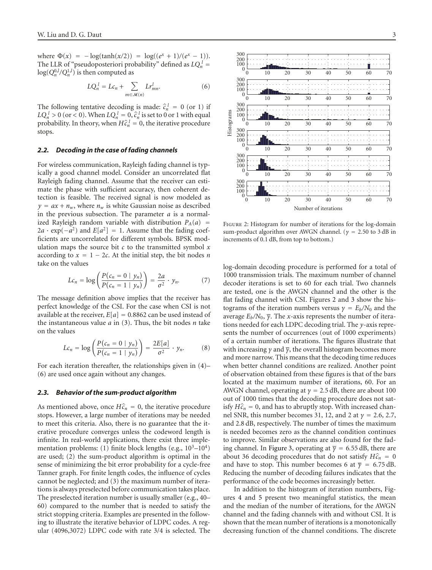where  $\Phi(x) = -\log(\tanh(x/2)) = \log((e^x + 1)/(e^x - 1)).$ The LLR of "pseudoposteriori probability" defined as  $LQ_n^l$  =  $log(Q_n^{0,l}/Q_n^{1,l})$  is then computed as

<span id="page-2-0"></span>
$$
LQ_n^{\ l}=Lc_n+\sum_{m\in\mathcal{M}(n)}Lr_{mn}^l.\hspace{1cm} (6)
$$

The following tentative decoding is made:  $\hat{c}_n^l = 0$  (or 1) if  $I \Omega^l > 0$  (or 2.0) When  $I \Omega^l = 0$ ,  $\hat{\epsilon}^l$  is set to 0 or 1 with equal  $LQ_n^l > 0$  (or < 0). When  $LQ_n^l = 0$ ,  $\hat{c}_n^l$  is set to 0 or 1 with equal probability In theory when  $H_0^{2l} = 0$ , the iterative procedure probability. In theory, when  $H\hat{c}_n^l = 0$ , the iterative procedure stops.

#### *2.2. Decoding in the case of fading channels*

For wireless communication, Rayleigh fading channel is typically a good channel model. Consider an uncorrelated flat Rayleigh fading channel. Assume that the receiver can estimate the phase with sufficient accuracy, then coherent detection is feasible. The received signal is now modeled as  $y = ax + n_w$ , where  $n_w$  is white Gaussian noise as described in the previous subsection. The parameter *a* is a normalized Rayleigh random variable with distribution  $P_A(a)$  =  $2a \cdot \exp(-a^2)$  and  $E[a^2] = 1$ . Assume that the fading coefficients are uncorrelated for different symbols. BPSK modulation maps the source bit *c* to the transmitted symbol *x* according to  $x = 1 - 2c$ . At the initial step, the bit nodes *n* take on the values

$$
Lc_n = \log\left(\frac{P(c_n = 0 \mid y_n)}{P(c_n = 1 \mid y_n)}\right) = \frac{2a}{\sigma^2} \cdot y_n. \tag{7}
$$

The message definition above implies that the receiver has perfect knowledge of the CSI. For the case when CSI is not available at the receiver,  $E[a] = 0.8862$  can be used instead of the instantaneous value *a* in [\(3\)](#page-1-3). Thus, the bit nodes *n* take on the values

<span id="page-2-3"></span>
$$
Lc_n = \log\left(\frac{P(c_n = 0 \mid y_n)}{P(c_n = 1 \mid y_n)}\right) = \frac{2E[a]}{\sigma^2} \cdot y_n.
$$
 (8)

For each iteration thereafter, the relationships given in [\(4\)](#page-1-4)– [\(6\)](#page-2-0) are used once again without any changes.

#### *2.3. Behavior of the sum-product algorithm*

As mentioned above, once  $H\hat{c}_n = 0$ , the iterative procedure stops. However, a large number of iterations may be needed to meet this criteria. Also, there is no guarantee that the iterative procedure converges unless the codeword length is infinite. In real-world applications, there exist three implementation problems: (1) finite block lengths (e.g.,  $10^3-10^4$ ) are used; (2) the sum-product algorithm is optimal in the sense of minimizing the bit error probability for a cycle-free Tanner graph. For finite length codes, the influence of cycles cannot be neglected; and (3) the maximum number of iterations is always preselected before communication takes place. The preselected iteration number is usually smaller (e.g., 40– 60) compared to the number that is needed to satisfy the strict stopping criteria. Examples are presented in the following to illustrate the iterative behavior of LDPC codes. A regular (4096,3072) LDPC code with rate 3/4 is selected. The



<span id="page-2-1"></span>Figure 2: Histogram for number of iterations for the log-domain sum-product algorithm over AWGN channel. (*<sup>γ</sup>* <sup>=</sup> <sup>2</sup>*.*50 to 3 dB in increments of 0.1 dB, from top to bottom.)

<span id="page-2-2"></span>log-domain decoding procedure is performed for a total of 1000 transmission trials. The maximum number of channel decoder iterations is set to 60 for each trial. Two channels are tested, one is the AWGN channel and the other is the flat fading channel with CSI. Figures [2](#page-2-1) and [3](#page-3-1) show the histograms of the iteration numbers versus  $\gamma = E_b/N_0$  and the average  $E_b/N_0$ ,  $\overline{\gamma}$ . The *x*-axis represents the number of iterations needed for each LDPC decoding trial. The *y*-axis represents the number of occurrences (out of 1000 experiments) of a certain number of iterations. The figures illustrate that with increasing *γ* and *γ*, the overall histogram becomes more and more narrow. This means that the decoding time reduces when better channel conditions are realized. Another point of observation obtained from these figures is that of the bars located at the maximum number of iterations, 60. For an AWGN channel, operating at  $\gamma = 2.5$  dB, there are about 100 out of 1000 times that the decoding procedure does not satisfy  $H\hat{c}_n = 0$ , and has to abruptly stop. With increased channel SNR, this number becomes 31, 12, and 2 at *<sup>γ</sup>* <sup>=</sup> <sup>2</sup>*.*6, 2.7, and 2.8 dB, respectively. The number of times the maximum is needed becomes zero as the channel condition continues to improve. Similar observations are also found for the fad-ing channel. In [Figure 3,](#page-3-1) operating at  $\bar{y} = 6.55$  dB, there are about 36 decoding procedures that do not satisfy  $H\hat{c}_n = 0$ and have to stop. This number becomes 6 at  $\bar{y} = 6.75 \text{ dB}$ . Reducing the number of decoding failures indicates that the performance of the code becomes increasingly better.

In addition to the histogram of iteration numbers, Figures [4](#page-3-2) and [5](#page-3-3) present two meaningful statistics, the mean and the median of the number of iterations, for the AWGN channel and the fading channels with and without CSI. It is shown that the mean number of iterations is a monotonically decreasing function of the channel conditions. The discrete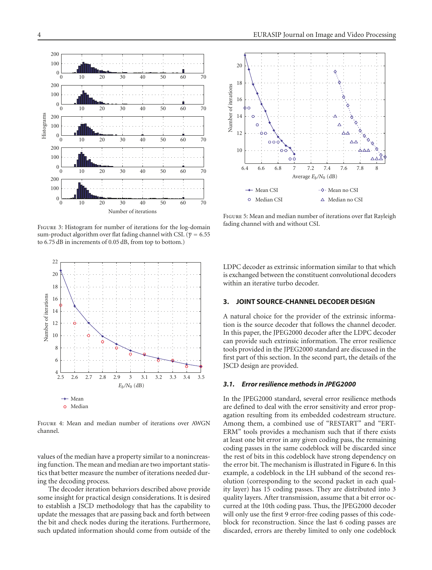

<span id="page-3-1"></span>FIGURE 3: Histogram for number of iterations for the log-domain sum-product algorithm over flat fading channel with CSI. (*<sup>γ</sup>* <sup>=</sup> <sup>6</sup>*.*<sup>55</sup> to 6*.*75 dB in increments of 0*.*05 dB, from top to bottom.)



<span id="page-3-2"></span>Figure 4: Mean and median number of iterations over AWGN channel.

values of the median have a property similar to a nonincreasing function. The mean and median are two important statistics that better measure the number of iterations needed during the decoding process.

The decoder iteration behaviors described above provide some insight for practical design considerations. It is desired to establish a JSCD methodology that has the capability to update the messages that are passing back and forth between the bit and check nodes during the iterations. Furthermore, such updated information should come from outside of the



<span id="page-3-3"></span>Figure 5: Mean and median number of iterations over flat Rayleigh fading channel with and without CSI.

LDPC decoder as extrinsic information similar to that which is exchanged between the constituent convolutional decoders within an iterative turbo decoder.

## <span id="page-3-0"></span>**3. JOINT SOURCE-CHANNEL DECODER DESIGN**

A natural choice for the provider of the extrinsic information is the source decoder that follows the channel decoder. In this paper, the JPEG2000 decoder after the LDPC decoder can provide such extrinsic information. The error resilience tools provided in the JPEG2000 standard are discussed in the first part of this section. In the second part, the details of the JSCD design are provided.

## *3.1. Error resilience methods in JPEG2000*

In the JPEG2000 standard, several error resilience methods are defined to deal with the error sensitivity and error propagation resulting from its embedded codestream structure. Among them, a combined use of "RESTART" and "ERT-ERM" tools provides a mechanism such that if there exists at least one bit error in any given coding pass, the remaining coding passes in the same codeblock will be discarded since the rest of bits in this codeblock have strong dependency on the error bit. The mechanism is illustrated in [Figure 6.](#page-4-0) In this example, a codeblock in the LH subband of the second resolution (corresponding to the second packet in each quality layer) has 15 coding passes. They are distributed into 3 quality layers. After transmission, assume that a bit error occurred at the 10th coding pass. Thus, the JPEG2000 decoder will only use the first 9 error-free coding passes of this codeblock for reconstruction. Since the last 6 coding passes are discarded, errors are thereby limited to only one codeblock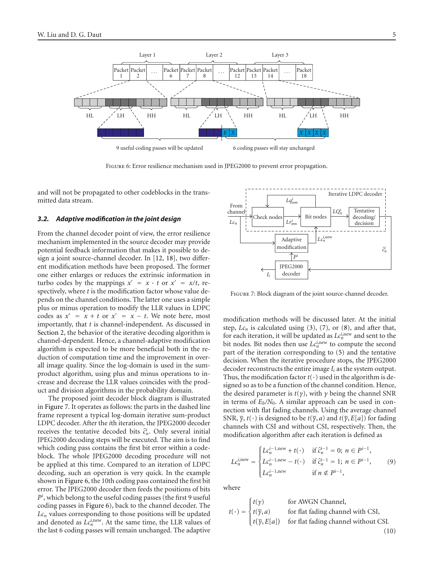

<span id="page-4-0"></span>Figure 6: Error resilience mechanism used in JPEG2000 to prevent error propagation.

and will not be propagated to other codeblocks in the transmitted data stream.

### *3.2. Adaptive modification in the joint design*

From the channel decoder point of view, the error resilience mechanism implemented in the source decoder may provide potential feedback information that makes it possible to design a joint source-channel decoder. In [\[12,](#page-8-2) [18](#page-8-7)], two different modification methods have been proposed. The former one either enlarges or reduces the extrinsic information in turbo codes by the mappings  $x' = x \cdot t$  or  $x' = x/t$ , respectively, where *t* is the modification factor whose value depends on the channel conditions. The latter one uses a simple plus or minus operation to modify the LLR values in LDPC codes as  $x' = x + t$  or  $x' = x - t$ . We note here, most importantly, that *t* is channel-independent. As discussed in [Section 2,](#page-1-0) the behavior of the iterative decoding algorithm is channel-dependent. Hence, a channel-adaptive modification algorithm is expected to be more beneficial both in the reduction of computation time and the improvement in overall image quality. Since the log-domain is used in the sumproduct algorithm, using plus and minus operations to increase and decrease the LLR values coincides with the product and division algorithms in the probability domain.

The proposed joint decoder block diagram is illustrated in [Figure 7.](#page-4-1) It operates as follows: the parts in the dashed line frame represent a typical log-domain iterative sum-product LDPC decoder. After the *i*th iteration, the JPEG2000 decoder receives the tentative decoded bits  $\hat{c}_n^i$ . Only several initial IDEC2000 decoding staps will be executed. The sim is to find JPEG2000 decoding steps will be executed. The aim is to find which coding pass contains the first bit error within a codeblock. The whole JPEG2000 decoding procedure will not be applied at this time. Compared to an iteration of LDPC decoding, such an operation is very quick. In the example shown in [Figure 6,](#page-4-0) the 10th coding pass contained the first bit error. The JPEG2000 decoder then feeds the positions of bits *Pi* , which belong to the useful coding passes (the first 9 useful coding passes in [Figure 6\)](#page-4-0), back to the channel decoder. The  $Lc_n$  values corresponding to those positions will be updated and denoted as  $Lc_n^{i, new}$ . At the same time, the LLR values of the last 6 coding passes will remain unchanged. The adaptive



<span id="page-4-1"></span>Figure 7: Block diagram of the joint source-channel decoder.

modification methods will be discussed later. At the initial step,  $Lc_n$  is calculated using [\(3\)](#page-1-3), [\(7\)](#page-2-2), or [\(8\)](#page-2-3), and after that, for each iteration, it will be updated as  $Lc_n^{i,\text{new}}$  and sent to the bit nodes. Bit nodes then use  $Lc_n^{i, new}$  to compute the second part of the iteration corresponding to [\(5\)](#page-1-5) and the tentative decision. When the iterative procedure stops, the JPEG2000 decoder reconstructs the entire image *Ii* as the system output. Thus, the modification factor  $t(\cdot)$  used in the algorithm is designed so as to be a function of the channel condition. Hence, the desired parameter is  $t(y)$ , with  $\gamma$  being the channel SNR in terms of  $E_b/N_0$ . A similar approach can be used in connection with flat fading channels. Using the average channel SNR,  $\overline{\gamma}$ ,  $t(\cdot)$  is designed to be  $t(\overline{\gamma}, a)$  and  $t(\overline{\gamma}, E[a])$  for fading channels with CSI and without CSI, respectively. Then, the modification algorithm after each iteration is defined as

$$
Lc_n^{i,\text{new}} = \begin{cases} Lc_n^{i-1,\text{new}} + t(\cdot) & \text{if } \hat{c}_n^{i-1} = 0; \ n \in P^{i-1}, \\ Lc_n^{i-1,\text{new}} - t(\cdot) & \text{if } \hat{c}_n^{i-1} = 1; \ n \in P^{i-1}, \\ Lc_n^{i-1,\text{new}} & \text{if } n \notin P^{i-1}, \end{cases} \tag{9}
$$

where

$$
t(\cdot) = \begin{cases} t(\gamma) & \text{for AWGN Channel,} \\ t(\overline{\gamma}, a) & \text{for flat fading channel with CSI,} \\ t(\overline{\gamma}, E[a]) & \text{for flat fading channel without CSI.} \end{cases}
$$
(10)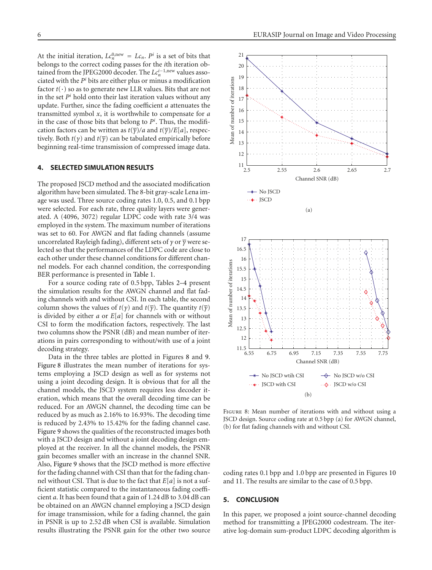At the initial iteration,  $Lc_n^{\theta, new} = Lc_n$ .  $P^i$  is a set of bits that belongs to the correct coding passes for the *i*th iteration obtained from the JPEG2000 decoder. The *L*c<sup>*i*−1,new</sup> values associated with the *Pi* bits are either plus or minus a modification factor  $t(\cdot)$  so as to generate new LLR values. Bits that are not in the set  $P<sup>i</sup>$  hold onto their last iteration values without any update. Further, since the fading coefficient *a* attenuates the transmitted symbol *x*, it is worthwhile to compensate for *a* in the case of those bits that belong to  $P<sup>i</sup>$ . Thus, the modification factors can be written as  $t(\overline{\gamma})/a$  and  $t(\overline{\gamma})/E[a]$ , respectively. Both  $t(y)$  and  $t(\overline{y})$  can be tabulated empirically before beginning real-time transmission of compressed image data.

## <span id="page-5-0"></span>**4. SELECTED SIMULATION RESULTS**

The proposed JSCD method and the associated modification algorithm have been simulated. The 8-bit gray-scale Lena image was used. Three source coding rates 1.0, 0.5, and 0.1 bpp were selected. For each rate, three quality layers were generated. A (4096, 3072) regular LDPC code with rate 3/4 was employed in the system. The maximum number of iterations was set to 60. For AWGN and flat fading channels (assume uncorrelated Rayleigh fading), different sets of *γ* or *γ* were selected so that the performances of the LDPC code are close to each other under these channel conditions for different channel models. For each channel condition, the corresponding BER performance is presented in [Table 1.](#page-6-0)

For a source coding rate of 0.5 bpp, Tables [2–](#page-7-7)[4](#page-7-8) present the simulation results for the AWGN channel and flat fading channels with and without CSI. In each table, the second column shows the values of *t*(*γ*) and *t*( $\overline{y}$ ). The quantity *t*( $\overline{y}$ ) is divided by either *a* or *E*[*a*] for channels with or without CSI to form the modification factors, respectively. The last two columns show the PSNR (dB) and mean number of iterations in pairs corresponding to without/with use of a joint decoding strategy.

Data in the three tables are plotted in Figures [8](#page-5-2) and [9.](#page-6-1) [Figure 8](#page-5-2) illustrates the mean number of iterations for systems employing a JSCD design as well as for systems not using a joint decoding design. It is obvious that for all the channel models, the JSCD system requires less decoder iteration, which means that the overall decoding time can be reduced. For an AWGN channel, the decoding time can be reduced by as much as 2.16% to 16.93%. The decoding time is reduced by 2.43% to 15.42% for the fading channel case. [Figure 9](#page-6-1) shows the qualities of the reconstructed images both with a JSCD design and without a joint decoding design employed at the receiver. In all the channel models, the PSNR gain becomes smaller with an increase in the channel SNR. Also, [Figure 9](#page-6-1) shows that the JSCD method is more effective for the fading channel with CSI than that for the fading channel without CSI. That is due to the fact that *E*[*a*] is not a sufficient statistic compared to the instantaneous fading coefficient *a*. It has been found that a gain of 1.24 dB to 3.04 dB can be obtained on an AWGN channel employing a JSCD design for image transmission, while for a fading channel, the gain in PSNR is up to 2.52 dB when CSI is available. Simulation results illustrating the PSNR gain for the other two source



<span id="page-5-2"></span>Figure 8: Mean number of iterations with and without using a JSCD design. Source coding rate at 0.5 bpp (a) for AWGN channel, (b) for flat fading channels with and without CSI.

coding rates 0.1 bpp and 1.0 bpp are presented in Figures [10](#page-6-2) and [11.](#page-7-9) The results are similar to the case of 0.5 bpp.

#### <span id="page-5-1"></span>**5. CONCLUSION**

In this paper, we proposed a joint source-channel decoding method for transmitting a JPEG2000 codestream. The iterative log-domain sum-product LDPC decoding algorithm is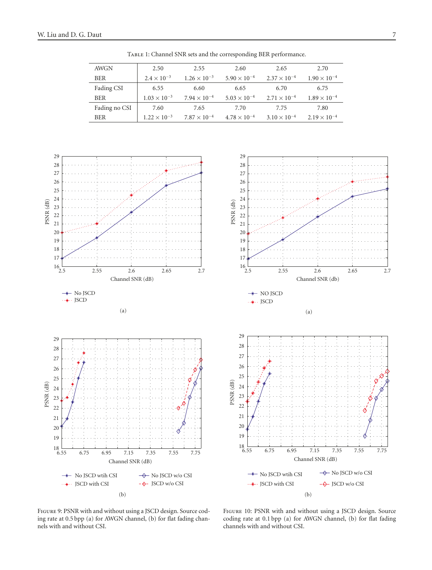<span id="page-6-0"></span>

| AWGN          | 2.50                  | 2.55                  | 2.60                  | 2.65                  | 2.70                  |
|---------------|-----------------------|-----------------------|-----------------------|-----------------------|-----------------------|
| <b>BER</b>    | $2.4 \times 10^{-3}$  | $1.26 \times 10^{-3}$ | $5.90 \times 10^{-4}$ | $2.37 \times 10^{-4}$ | $1.90 \times 10^{-4}$ |
| Fading CSI    | 6.55                  | 6.60                  | 6.65                  | 6.70                  | 6.75                  |
| <b>BER</b>    | $1.03 \times 10^{-3}$ | $7.94 \times 10^{-4}$ | $5.03 \times 10^{-4}$ | $2.71 \times 10^{-4}$ | $1.89 \times 10^{-4}$ |
| Fading no CSI | 7.60                  | 7.65                  | 7.70                  | 7.75                  | 7.80                  |
| <b>BER</b>    | $1.22 \times 10^{-3}$ | $7.87 \times 10^{-4}$ | $4.78 \times 10^{-4}$ | $3.10 \times 10^{-4}$ | $2.19 \times 10^{-4}$ |

Table 1: Channel SNR sets and the corresponding BER performance.



<span id="page-6-1"></span>Figure 9: PSNR with and without using a JSCD design. Source coding rate at 0.5 bpp (a) for AWGN channel, (b) for flat fading channels with and without CSI.

<span id="page-6-2"></span>Figure 10: PSNR with and without using a JSCD design. Source coding rate at 0.1 bpp (a) for AWGN channel, (b) for flat fading channels with and without CSI.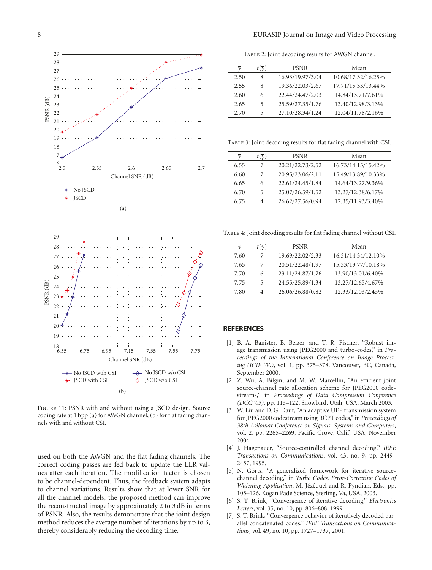



<span id="page-7-9"></span>Figure 11: PSNR with and without using a JSCD design. Source coding rate at 1 bpp (a) for AWGN channel, (b) for flat fading channels with and without CSI.

used on both the AWGN and the flat fading channels. The correct coding passes are fed back to update the LLR values after each iteration. The modification factor is chosen to be channel-dependent. Thus, the feedback system adapts to channel variations. Results show that at lower SNR for all the channel models, the proposed method can improve the reconstructed image by approximately 2 to 3 dB in terms of PSNR. Also, the results demonstrate that the joint design method reduces the average number of iterations by up to 3, thereby considerably reducing the decoding time.

Table 2: Joint decoding results for AWGN channel.

<span id="page-7-7"></span>

| $\mathcal V$ | $t(\overline{\nu})$ | <b>PSNR</b>      | Mean               |
|--------------|---------------------|------------------|--------------------|
| 2.50         | 8                   | 16.93/19.97/3.04 | 10.68/17.32/16.25% |
| 2.55         | 8                   | 19.36/22.03/2.67 | 17.71/15.33/13.44% |
| 2.60         | 6                   | 22.44/24.47/2.03 | 14.84/13.71/7.61%  |
| 2.65         | 5                   | 25.59/27.35/1.76 | 13.40/12.98/3.13%  |
| 2.70         | 5                   | 27.10/28.34/1.24 | 12.04/11.78/2.16%  |

Table 3: Joint decoding results for flat fading channel with CSI.

| $\mathcal{V}$ | $t(\overline{\nu})$ | <b>PSNR</b>      | Mean               |
|---------------|---------------------|------------------|--------------------|
| 6.55          |                     | 20.21/22.73/2.52 | 16.73/14.15/15.42% |
| 6.60          |                     | 20.95/23.06/2.11 | 15.49/13.89/10.33% |
| 6.65          | 6                   | 22.61/24.45/1.84 | 14.64/13.27/9.36%  |
| 6.70          | 5                   | 25.07/26.59/1.52 | 13.27/12.38/6.17%  |
| 6.75          | 4                   | 26.62/27.56/0.94 | 12.35/11.93/3.40%  |
|               |                     |                  |                    |

<span id="page-7-8"></span>Table 4: Joint decoding results for flat fading channel without CSI.

|      | $t(\overline{\nu})$ | <b>PSNR</b>      | Mean               |
|------|---------------------|------------------|--------------------|
| 7.60 |                     | 19.69/22.02/2.33 | 16.31/14.34/12.10% |
| 7.65 |                     | 20.51/22.48/1.97 | 15.33/13.77/10.18% |
| 7.70 | 6                   | 23.11/24.87/1.76 | 13.90/13.01/6.40%  |
| 7.75 | 5                   | 24.55/25.89/1.34 | 13.27/12.65/4.67%  |
| 7.80 | 4                   | 26.06/26.88/0.82 | 12.33/12.03/2.43%  |

#### <span id="page-7-1"></span><span id="page-7-0"></span>**REFERENCES**

- [1] B. A. Banister, B. Belzer, and T. R. Fischer, "Robust image transmission using JPEG2000 and turbo-codes," in *Proceedings of the International Conference on Image Processing (ICIP '00)*, vol. 1, pp. 375–378, Vancouver, BC, Canada, September 2000.
- [2] Z. Wu, A. Bilgin, and M. W. Marcellin, "An efficient joint source-channel rate allocation scheme for JPEG2000 codestreams," in *Proceedings of Data Compression Conference (DCC '03)*, pp. 113–122, Snowbird, Utah, USA, March 2003.
- <span id="page-7-2"></span>[3] W. Liu and D. G. Daut, "An adaptive UEP transmission system for JPEG2000 codestream using RCPT codes," in *Proceedings of 38th Asilomar Conference on Signals, Systems and Computers*, vol. 2, pp. 2265–2269, Pacific Grove, Calif, USA, November 2004.
- <span id="page-7-3"></span>[4] J. Hagenauer, "Source-controlled channel decoding," *IEEE Transactions on Communications*, vol. 43, no. 9, pp. 2449– 2457, 1995.
- <span id="page-7-4"></span>[5] N. Görtz, "A generalized framework for iterative sourcechannel decoding," in *Turbo Codes, Error-Correcting Codes of Widening Application*, M. Jézéquel and R. Pyndiah, Eds., pp. 105–126, Kogan Pade Science, Sterling, Va, USA, 2003.
- <span id="page-7-5"></span>[6] S. T. Brink, "Convergence of iterative decoding," *Electronics Letters*, vol. 35, no. 10, pp. 806–808, 1999.
- <span id="page-7-6"></span>[7] S. T. Brink, "Convergence behavior of iteratively decoded parallel concatenated codes," *IEEE Transactions on Communications*, vol. 49, no. 10, pp. 1727–1737, 2001.